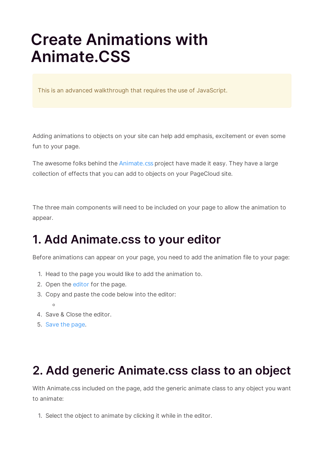# **Create Animations with Animate.CSS**

This is an advanced walkthrough that requires the use of JavaScript.

Adding animations to objects on your site can help add emphasis, excitement or even some fun to your page.

The awesome folks behind the Animate.css project have made it easy. They have a large collection of effects that you can add to objects on your PageCloud site.

The three main components will need to be included on your page to allow the animation to appear.

## **1. Add Animate.css to your editor**

Before animations can appear on your page, you need to add the animation file to your page:

- 1. Head to the page you would like to add the animation to.
- 2. Open the editor for the page.
- 3. Copy and paste the code below into the editor:
	- $\circ$
- 4. Save & Close the editor.
- 5. Save the page.

### **2. Add generic Animate.css class to an object**

With Animate.css included on the page, add the generic animate class to any object you want to animate:

1. Select the object to animate by clicking it while in the editor.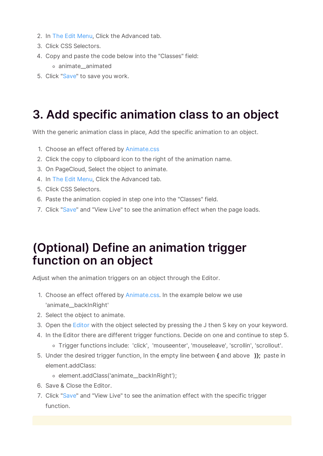- 2. In The Edit Menu, Click the Advanced tab.
- 3. Click CSS Selectors.
- 4. Copy and paste the code below into the "Classes" field:
	- animate\_\_animated
- 5. Click "Save" to save you work.

## **3. Add specific animation class to an object**

With the generic animation class in place, Add the specific animation to an object.

- 1. Choose an effect offered by Animate.css
- 2. Click the copy to clipboard icon to the right of the animation name.
- 3. On PageCloud, Select the object to animate.
- 4. In The Edit Menu, Click the Advanced tab.
- 5. Click CSS Selectors.
- 6. Paste the animation copied in step one into the "Classes" field.
- 7. Click "Save" and "View Live" to see the animation effect when the page loads.

#### **(Optional) Define an animation trigger function on an object**

Adjust when the animation triggers on an object through the Editor.

- 1. Choose an effect offered by Animate.css. In the example below we use 'animate\_\_backInRight'
- 2. Select the object to animate.
- 3. Open the Editor with the object selected by pressing the J then S key on your keyword.
- 4. In the Editor there are different trigger functions. Decide on one and continue to step 5.
	- Trigger functions include: 'click', 'mouseenter', 'mouseleave', 'scrollin', 'scrollout'.
- 5. Under the desired trigger function, In the empty line between **{** and above **)};** paste in element.addClass:
	- o element.addClass('animate\_backInRight');
- 6. Save & Close the Editor.
- 7. Click "Save" and "View Live" to see the animation effect with the specific trigger function.